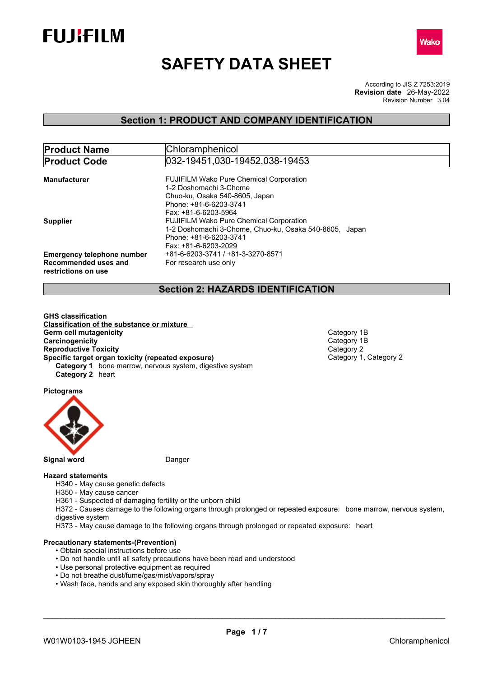



# **SAFETY DATA SHEET**

According to JIS Z 7253:2019 Revision Number 3.04 **Revision date** 26-May-2022

### **Section 1: PRODUCT AND COMPANY IDENTIFICATION**

| <b>Product Name</b>               | Chloramphenicol                                        |  |  |
|-----------------------------------|--------------------------------------------------------|--|--|
| <b>Product Code</b>               | 032-19451.030-19452.038-19453                          |  |  |
|                                   |                                                        |  |  |
| <b>Manufacturer</b>               | <b>FUJIFILM Wako Pure Chemical Corporation</b>         |  |  |
|                                   | 1-2 Doshomachi 3-Chome                                 |  |  |
|                                   | Chuo-ku, Osaka 540-8605, Japan                         |  |  |
|                                   | Phone: +81-6-6203-3741                                 |  |  |
|                                   | Fax: +81-6-6203-5964                                   |  |  |
| <b>Supplier</b>                   | <b>FUJIFILM Wako Pure Chemical Corporation</b>         |  |  |
|                                   | 1-2 Doshomachi 3-Chome, Chuo-ku, Osaka 540-8605, Japan |  |  |
|                                   | Phone: +81-6-6203-3741                                 |  |  |
|                                   | Fax: +81-6-6203-2029                                   |  |  |
| <b>Emergency telephone number</b> | +81-6-6203-3741 / +81-3-3270-8571                      |  |  |
| Recommended uses and              | For research use only                                  |  |  |
| restrictions on use               |                                                        |  |  |

### **Section 2: HAZARDS IDENTIFICATION**

**GHS classification Classification of the substance or mixture Germ cell mutagenicity**<br> **Category 1B**<br> **Category 1B**<br> **Category 1B Carcinogenicity** Category 1<br> **Reproductive Toxicity**<br> **Category 2 Reproductive Toxicity**<br> **Specific target organ toxicity (repeated exposure)**<br>
Category 1, Category 2 **Specific target organ toxicity (repeated exposure) Category 1** bone marrow, nervous system, digestive system **Category 2** heart

**Pictograms**



#### **Hazard statements**

H340 - May cause genetic defects

H350 - May cause cancer

H361 - Suspected of damaging fertility or the unborn child

H372 - Causes damage to the following organs through prolonged or repeated exposure: bone marrow, nervous system, digestive system

H373 - May cause damage to the following organs through prolonged or repeated exposure: heart

#### **Precautionary statements-(Prevention)**

- Obtain special instructions before use
- Do not handle until all safety precautions have been read and understood
- Use personal protective equipment as required
- Do not breathe dust/fume/gas/mist/vapors/spray
- Wash face, hands and any exposed skin thoroughly after handling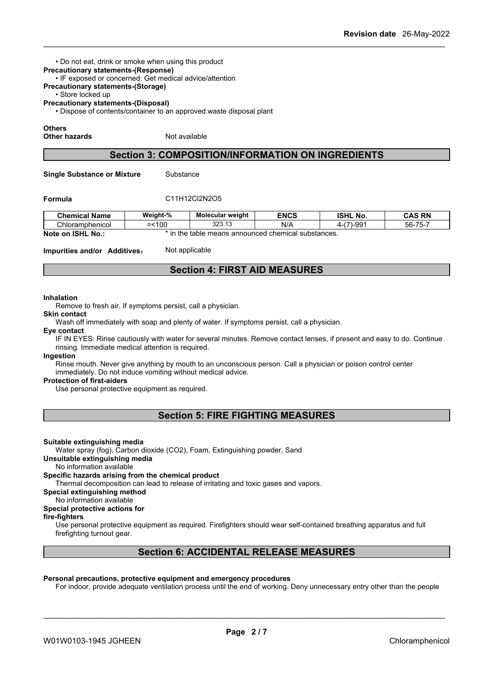• Do not eat, drink or smoke when using this product **Precautionary statements-(Response)**

- IF exposed or concerned: Get medical advice/attention
- **Precautionary statements-(Storage)**

• Store locked up

**Precautionary statements-(Disposal)**

• Dispose of contents/container to an approved waste disposal plant

#### **Others**

**Other hazards** Not available

### **Section 3: COMPOSITION/INFORMATION ON INGREDIENTS**

**Single Substance or Mixture** Substance

#### **Formula** C11H12Cl2N2O5

| <b>Chemical</b><br>Name | Weight-% | Molecular weight                    | <b>ENCS</b> | <b>ISHL</b><br>No.                               | DN<br><b>CAS</b><br>NI               |
|-------------------------|----------|-------------------------------------|-------------|--------------------------------------------------|--------------------------------------|
| Chloramphenicol         | n,<br>U  | $\sim$<br>$\overline{a}$<br>∪د∪. ان | N/          | $\overline{\phantom{a}}$<br>⊶_qq<br>$\sim$<br>ັບ | $- -$<br>$-\sim$<br>hh.<br>JU<br>. . |

**Note on ISHL No.:** \* in the table means announced chemical substances.

**Impurities and/or Additives:** Not applicable

### **Section 4: FIRST AID MEASURES**

#### **Inhalation**

Remove to fresh air. If symptoms persist, call a physician.

#### **Skin contact**

Wash off immediately with soap and plenty of water. If symptoms persist, call a physician.

#### **Eye contact**

IF IN EYES: Rinse cautiously with water for several minutes. Remove contact lenses, if present and easy to do. Continue rinsing. Immediate medical attention is required.

#### **Ingestion**

Rinse mouth. Never give anything by mouth to an unconscious person. Call a physician or poison control center immediately. Do not induce vomiting without medical advice.

#### **Protection of first-aiders**

Use personal protective equipment as required.

### **Section 5: FIRE FIGHTING MEASURES**

#### **Suitable extinguishing media**

Water spray (fog), Carbon dioxide (CO2), Foam, Extinguishing powder, Sand

#### **Unsuitable extinguishing media**

No information available

#### **Specific hazards arising from the chemical product**

Thermal decomposition can lead to release of irritating and toxic gases and vapors.

**Special extinguishing method**

#### No information available

### **Special protective actions for**

**fire-fighters**

Use personal protective equipment as required.Firefighters should wear self-contained breathing apparatus and full firefighting turnout gear.

### **Section 6: ACCIDENTAL RELEASE MEASURES**

#### **Personal precautions, protective equipment and emergency procedures**

For indoor, provide adequate ventilation process until the end of working. Deny unnecessary entry other than the people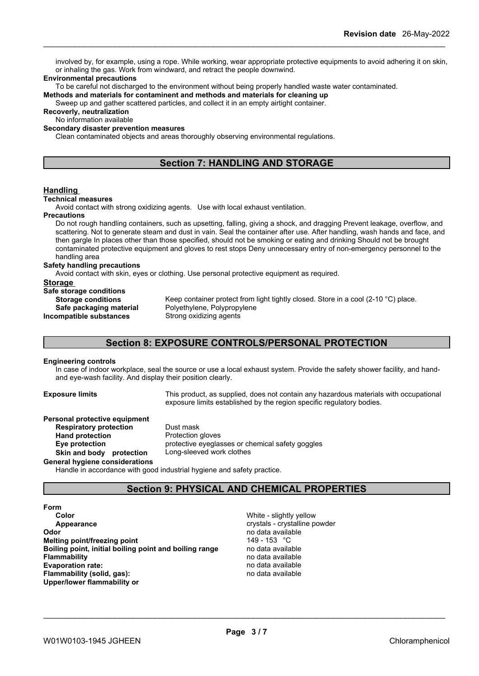involved by, for example, using a rope. While working, wear appropriate protective equipments to avoid adhering it on skin, or inhaling the gas. Work from windward, and retract the people downwind.

#### **Environmental precautions**

To be careful not discharged to the environment without being properly handled waste water contaminated.

**Methods and materials for contaminent and methods and materials for cleaning up**

Sweep up and gather scattered particles, and collect it in an empty airtight container.

**Recoverly, neutralization**

No information available

#### **Secondary disaster prevention measures**

Clean contaminated objects and areas thoroughly observing environmental regulations.

### **Section 7: HANDLING AND STORAGE**

#### **Handling**

#### **Technical measures**

Avoid contact with strong oxidizing agents. Use with local exhaust ventilation.

#### **Precautions**

Do not rough handling containers, such as upsetting, falling, giving a shock, and dragging Prevent leakage, overflow, and scattering. Not to generate steam and dust in vain. Seal the container after use. After handling, wash hands and face, and then gargle In places other than those specified, should not be smoking or eating and drinking Should not be brought contaminated protective equipment and gloves to rest stops Deny unnecessary entry of non-emergency personnel to the handling area

#### **Safety handling precautions**

Avoid contact with skin, eyes or clothing. Use personal protective equipment as required.

#### **Storage**

**Safe storage conditions Incompatible substances** Strong oxidizing agents

**Storage conditions** Keep container protect from light tightly closed. Store in a cool (2-10 °C) place. **Safe packaging material** Polyethylene, Polypropylene

### **Section 8: EXPOSURE CONTROLS/PERSONAL PROTECTION**

#### **Engineering controls**

In case of indoor workplace, seal the source or use a local exhaust system. Provide the safety shower facility, and handand eye-wash facility. And display their position clearly.

**Exposure limits** This product, as supplied, does not contain any hazardous materials with occupational exposure limits established by the region specific regulatory bodies.

## **Personal protective equipment**

**Respiratory protection** Dust mask<br> **Hand protection** Protection **Hand protection**<br> **Eye protection**<br> **Eye protection**<br> **Protective eyeglas Skin** and body protection **General hygiene considerations**

protective eyeglasses or chemical safety goggles<br>Long-sleeved work clothes

Handle in accordance with good industrial hygiene and safety practice.

### **Section 9: PHYSICAL AND CHEMICAL PROPERTIES**

**Form Color** White - slightly yellow **Appearance crystalline powder Odor** no data available **Melting point/freezing point heating point** 149 - 153 °C<br> **Boiling point, initial boiling point and boiling range both and the modern available Boiling point, initial boiling point and boiling range<br>Flammability Evaporation** rate: **Flammability (solid, gas):** no data available **Upper/lower flammability or**

**Flammability** no data available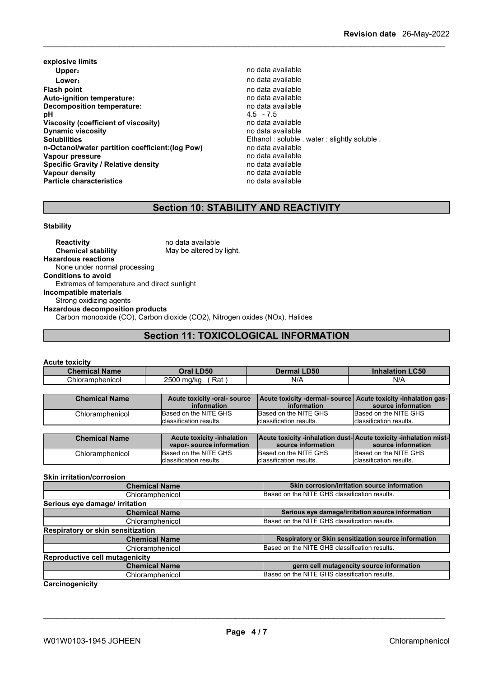- **explosive limits Upper**: **no data available Lower:** no data available **Flash point**<br> **Auto-ignition temperature:**<br> **Auto-ignition temperature:**<br> **Auto-ignition temperature: Auto-ignition temperature:**<br> **Decomposition temperature:** Network and the modata available **Decomposition temperature: pH** 4.5 - 7.5 **Viscosity (coefficient of viscosity)** no data available **Dynamic viscosity**<br> **Solubilities**<br> **Solubilities**<br> **Solubilities n-Octanol/water partition coefficient:(log Pow) no data available<br>
<b>Vapour pressure** no data available **Vapour pressure** no data available<br> **Specific Gravity / Relative density** enter the no data available **Specific Gravity / Relative density and the control of the Vapour density Vapour density Vapour density Vapour density**<br> **Particle characteristics**<br> **Particle characteristics**<br> **Particle characteristics Particle characteristics** 
	- Ethanol : soluble . water : slightly soluble . no data available

### **Section 10: STABILITY AND REACTIVITY**

#### **Stability**

| <b>Reactivity</b>                                                                               | no data available                                                           |
|-------------------------------------------------------------------------------------------------|-----------------------------------------------------------------------------|
| <b>Chemical stability</b>                                                                       | May be altered by light.                                                    |
| <b>Hazardous reactions</b>                                                                      |                                                                             |
| None under normal processing                                                                    |                                                                             |
|                                                                                                 |                                                                             |
| Extremes of temperature and direct sunlight                                                     |                                                                             |
|                                                                                                 |                                                                             |
| Strong oxidizing agents                                                                         |                                                                             |
|                                                                                                 |                                                                             |
|                                                                                                 | Carbon monooxide (CO), Carbon dioxide (CO2), Nitrogen oxides (NOx), Halides |
| <b>Conditions to avoid</b><br>Incompatible materials<br><b>Hazardous decomposition products</b> |                                                                             |

### **Section 11: TOXICOLOGICAL INFORMATION**

#### **Acute toxicity**

| <b>Name</b><br><b>Chemical N</b> | <b>D50</b><br>פיור           | <b>LD50</b> | <b>.C50</b><br>ıtion<br>ınnalar |
|----------------------------------|------------------------------|-------------|---------------------------------|
| Chloramphenicol                  | 2500<br>Rat<br>ma/ka<br>-999 | N/A         | $N$ //                          |

| <b>Chemical Name</b> | Acute toxicity -oral- source      |                                                                  | Acute toxicity -dermal- source   Acute toxicity -inhalation gas- |
|----------------------|-----------------------------------|------------------------------------------------------------------|------------------------------------------------------------------|
|                      | information                       | information                                                      | source information                                               |
| Chloramphenicol      | Based on the NITE GHS             | Based on the NITE GHS                                            | Based on the NITE GHS                                            |
|                      | Iclassification results.          | classification results.                                          | <b>I</b> classification results.                                 |
|                      |                                   |                                                                  |                                                                  |
|                      |                                   |                                                                  |                                                                  |
| <b>Chemical Name</b> | <b>Acute toxicity -inhalation</b> | Acute toxicity -inhalation dust-Acute toxicity -inhalation mist- |                                                                  |
|                      | vapor-source information          | source information                                               | source information                                               |
| Chloramphenicol      | Based on the NITE GHS             | Based on the NITE GHS                                            | Based on the NITE GHS                                            |

\_\_\_\_\_\_\_\_\_\_\_\_\_\_\_\_\_\_\_\_\_\_\_\_\_\_\_\_\_\_\_\_\_\_\_\_\_\_\_\_\_\_\_\_\_\_\_\_\_\_\_\_\_\_\_\_\_\_\_\_\_\_\_\_\_\_\_\_\_\_\_\_\_\_\_\_\_\_\_\_\_\_\_\_\_\_\_\_\_\_

#### **Skin irritation/corrosion**

| <b>Chemical Name</b>                  | Skin corrosion/irritation source information         |
|---------------------------------------|------------------------------------------------------|
| Chloramphenicol                       | Based on the NITE GHS classification results.        |
| Serious eye damage/ irritation        |                                                      |
| <b>Chemical Name</b>                  | Serious eye damage/irritation source information     |
| Chloramphenicol                       | Based on the NITE GHS classification results.        |
| Respiratory or skin sensitization     |                                                      |
| <b>Chemical Name</b>                  | Respiratory or Skin sensitization source information |
| Chloramphenicol                       | Based on the NITE GHS classification results.        |
| <b>Reproductive cell mutagenicity</b> |                                                      |
| <b>Chemical Name</b>                  | germ cell mutagencity source information             |
| Chloramphenicol                       | Based on the NITE GHS classification results.        |
|                                       |                                                      |

#### **Carcinogenicity**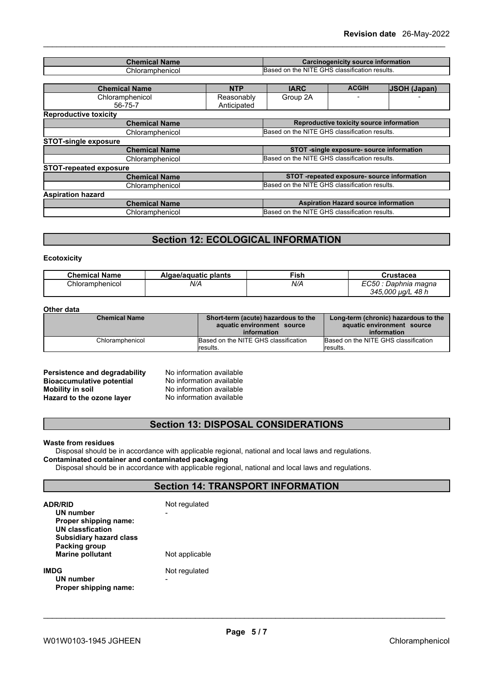| <b>Chemical Name</b>          |                      | Carcinogenicity source information            |                                               |                                          |                     |
|-------------------------------|----------------------|-----------------------------------------------|-----------------------------------------------|------------------------------------------|---------------------|
| Chloramphenicol               |                      | Based on the NITE GHS classification results. |                                               |                                          |                     |
|                               |                      |                                               |                                               |                                          |                     |
| <b>Chemical Name</b>          |                      | <b>NTP</b>                                    | <b>IARC</b>                                   | <b>ACGIH</b>                             | <b>JSOH (Japan)</b> |
| Chloramphenicol<br>56-75-7    |                      | Reasonably<br>Anticipated                     | Group 2A                                      |                                          |                     |
| <b>Reproductive toxicity</b>  |                      |                                               |                                               |                                          |                     |
|                               | <b>Chemical Name</b> |                                               |                                               | Reproductive toxicity source information |                     |
|                               | Chloramphenicol      |                                               | Based on the NITE GHS classification results. |                                          |                     |
| <b>STOT-single exposure</b>   |                      |                                               |                                               |                                          |                     |
| <b>Chemical Name</b>          |                      | STOT -single exposure- source information     |                                               |                                          |                     |
| Chloramphenicol               |                      | Based on the NITE GHS classification results. |                                               |                                          |                     |
| <b>STOT-repeated exposure</b> |                      |                                               |                                               |                                          |                     |
| <b>Chemical Name</b>          |                      | STOT -repeated exposure- source information   |                                               |                                          |                     |
| Chloramphenicol               |                      | Based on the NITE GHS classification results. |                                               |                                          |                     |
| <b>Aspiration hazard</b>      |                      |                                               |                                               |                                          |                     |
| <b>Chemical Name</b>          |                      | <b>Aspiration Hazard source information</b>   |                                               |                                          |                     |
|                               | Chloramphenicol      |                                               | Based on the NITE GHS classification results. |                                          |                     |

### **Section 12: ECOLOGICAL INFORMATION**

#### **Ecotoxicity**

| <b>Chemical Name</b> | Algae/aguatic plants | Fish | Crustacea                                     |
|----------------------|----------------------|------|-----------------------------------------------|
| Chloramphenicol      | N/A                  | N/A  | EC50<br>Daphnia magna<br>48 h<br>345,000 ua/L |

#### **Other data**

| <b>Chemical Name</b> | Short-term (acute) hazardous to the  | Long-term (chronic) hazardous to the |
|----------------------|--------------------------------------|--------------------------------------|
|                      | aquatic environment source           | aquatic environment source           |
|                      | information                          | information                          |
| Chloramphenicol      | Based on the NITE GHS classification | Based on the NITE GHS classification |
|                      | results.                             | lresults.                            |

**No information available No information available Mobility in soil** No information available **Hazard to the ozone layer** No information available

### **Section 13: DISPOSAL CONSIDERATIONS**

#### **Waste from residues**

Disposal should be in accordance with applicable regional, national and local laws and regulations. **Contaminated container and contaminated packaging**

Disposal should be in accordance with applicable regional, national and local laws and regulations.

### **Section 14: TRANSPORT INFORMATION**

| <b>ADR/RID</b><br>UN number<br>Proper shipping name:<br>UN classfication<br><b>Subsidiary hazard class</b> | Not regulated<br>- |  |
|------------------------------------------------------------------------------------------------------------|--------------------|--|
| Packing group<br><b>Marine pollutant</b>                                                                   | Not applicable     |  |
| <b>IMDG</b><br>UN number<br>Proper shipping name:                                                          | Not regulated      |  |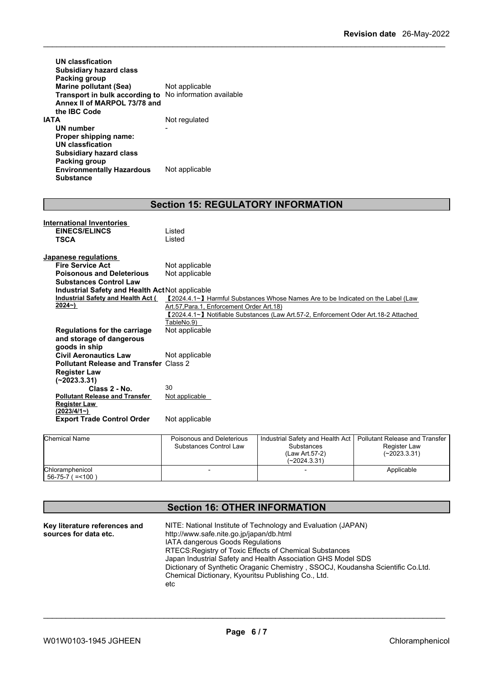| UN classfication<br><b>Subsidiary hazard class</b><br>Packing group<br><b>Marine pollutant (Sea)</b><br>Transport in bulk according to<br>Annex II of MARPOL 73/78 and<br>the IBC Code | Not applicable<br>No information available |
|----------------------------------------------------------------------------------------------------------------------------------------------------------------------------------------|--------------------------------------------|
| ΙΑΤΑ                                                                                                                                                                                   | Not regulated                              |
| UN number                                                                                                                                                                              |                                            |
| Proper shipping name:                                                                                                                                                                  |                                            |
| UN classfication                                                                                                                                                                       |                                            |
| <b>Subsidiary hazard class</b>                                                                                                                                                         |                                            |
| Packing group                                                                                                                                                                          |                                            |
| <b>Environmentally Hazardous</b>                                                                                                                                                       | Not applicable                             |
| <b>Substance</b>                                                                                                                                                                       |                                            |

### **Section 15: REGULATORY INFORMATION**

| <b>International Inventories</b>                |                                           |                                                                                     |                                |  |
|-------------------------------------------------|-------------------------------------------|-------------------------------------------------------------------------------------|--------------------------------|--|
| <b>EINECS/ELINCS</b>                            | Listed                                    |                                                                                     |                                |  |
| <b>TSCA</b>                                     | Listed                                    |                                                                                     |                                |  |
|                                                 |                                           |                                                                                     |                                |  |
| Japanese regulations<br><b>Fire Service Act</b> |                                           |                                                                                     |                                |  |
|                                                 | Not applicable                            |                                                                                     |                                |  |
| <b>Poisonous and Deleterious</b>                | Not applicable                            |                                                                                     |                                |  |
| <b>Substances Control Law</b>                   |                                           |                                                                                     |                                |  |
| Industrial Safety and Health Act Not applicable |                                           |                                                                                     |                                |  |
| Industrial Safety and Health Act (              |                                           | 【2024.4.1∼】 Harmful Substances Whose Names Are to be Indicated on the Label (Law    |                                |  |
| 2024~)                                          | Art.57. Para.1. Enforcement Order Art.18) |                                                                                     |                                |  |
|                                                 |                                           | 【2024.4.1∼】 Notifiable Substances (Law Art.57-2, Enforcement Oder Art.18-2 Attached |                                |  |
|                                                 | TableNo.9)                                |                                                                                     |                                |  |
| <b>Regulations for the carriage</b>             | Not applicable                            |                                                                                     |                                |  |
| and storage of dangerous                        |                                           |                                                                                     |                                |  |
| goods in ship                                   |                                           |                                                                                     |                                |  |
| <b>Civil Aeronautics Law</b>                    | Not applicable                            |                                                                                     |                                |  |
| <b>Pollutant Release and Transfer Class 2</b>   |                                           |                                                                                     |                                |  |
| <b>Register Law</b>                             |                                           |                                                                                     |                                |  |
| $(-2023.3.31)$                                  |                                           |                                                                                     |                                |  |
| Class 2 - No.                                   | 30                                        |                                                                                     |                                |  |
| <b>Pollutant Release and Transfer</b>           | Not applicable                            |                                                                                     |                                |  |
| <b>Register Law</b>                             |                                           |                                                                                     |                                |  |
| (2023/4/1)                                      |                                           |                                                                                     |                                |  |
| <b>Export Trade Control Order</b>               | Not applicable                            |                                                                                     |                                |  |
| <b>Chemical Name</b>                            | Poisonous and Deleterious                 | Industrial Safety and Health Act                                                    | Pollutant Release and Transfer |  |
|                                                 | Substances Control Law                    | Substances                                                                          | Register Law                   |  |
|                                                 |                                           | $(1, \ldots, 1)$ $\vdots$ $\vdots$ $\vdots$                                         | (0.000000)                     |  |

| <b>Unemical Name</b>                           | Poisonous and Deleterious<br>Substances Control Law | Thoustrial Safety and Health Act   Polititant Release and Transfer<br><b>Substances</b><br>(Law Art 57-2)<br>$(-2024.3.31)$ | Register Law<br>$(-2023.3.31)$ |  |
|------------------------------------------------|-----------------------------------------------------|-----------------------------------------------------------------------------------------------------------------------------|--------------------------------|--|
| Chloramphenicol<br>$156 - 75 - 7$<br>$2 = 100$ |                                                     |                                                                                                                             | Applicable                     |  |

### **Section 16: OTHER INFORMATION**

| Key literature references and | NITE: National Institute of Technology and Evaluation (JAPAN)                   |
|-------------------------------|---------------------------------------------------------------------------------|
| sources for data etc.         | http://www.safe.nite.go.jp/japan/db.html                                        |
|                               | <b>IATA dangerous Goods Regulations</b>                                         |
|                               | RTECS: Registry of Toxic Effects of Chemical Substances                         |
|                               | Japan Industrial Safety and Health Association GHS Model SDS                    |
|                               | Dictionary of Synthetic Oraganic Chemistry, SSOCJ, Koudansha Scientific Co.Ltd. |
|                               | Chemical Dictionary, Kyouritsu Publishing Co., Ltd.                             |
|                               | etc                                                                             |